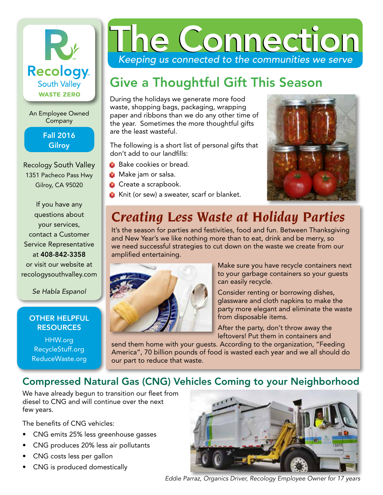

An Employee Owned Company

#### Fall 2016 **Gilroy**

Recology South Valley 1351 Pacheco Pass Hwy Gilroy, CA 95020

If you have any questions about your services, contact a Customer Service Representative at 408-842-3358 or visit our website at recologysouthvalley.com

*Se Habla Espanol*

#### OTHER HELPFUL **RESOURCES**

HHW.org RecycleStuff.org ReduceWaste.org

# *Keeping us connected to the communities we serve* he Connecti

## Give a Thoughtful Gift This Season

During the holidays we generate more food waste, shopping bags, packaging, wrapping paper and ribbons than we do any other time of the year. Sometimes the more thoughtful gifts are the least wasteful.

The following is a short list of personal gifts that don't add to our landfills:

- **•** Bake cookies or bread.
- **•** Make jam or salsa.
- **•** Create a scrapbook.
- **Knit (or sew) a sweater, scarf or blanket.**



# *Creating Less Waste at Holiday Parties*

It's the season for parties and festivities, food and fun. Between Thanksgiving and New Year's we like nothing more than to eat, drink and be merry, so we need successful strategies to cut down on the waste we create from our amplified entertaining.



Make sure you have recycle containers next to your garbage containers so your guests can easily recycle.

Consider renting or borrowing dishes, glassware and cloth napkins to make the party more elegant and eliminate the waste from disposable items.

After the party, don't throw away the leftovers! Put them in containers and

send them home with your guests. According to the organization, "Feeding America", 70 billion pounds of food is wasted each year and we all should do our part to reduce that waste.

#### Compressed Natural Gas (CNG) Vehicles Coming to your Neighborhood

We have already begun to transition our fleet from diesel to CNG and will continue over the next few years.

The benefits of CNG vehicles:

- CNG emits 25% less greenhouse gasses
- CNG produces 20% less air pollutants
- CNG costs less per gallon
- CNG is produced domestically



*Eddie Parraz, Organics Driver, Recology Employee Owner for 17 years*